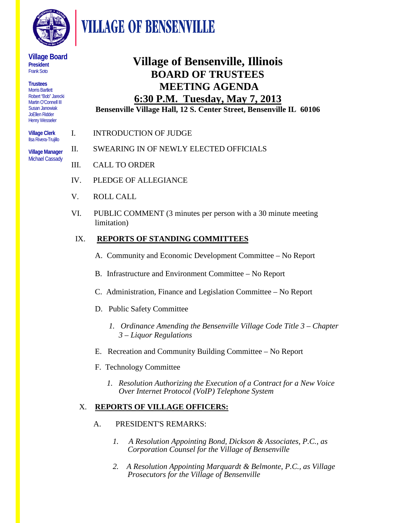

## **VILLAGE OF BENSENVILLE**

#### **Village Board President**  Frank Soto

**Trustees** Morris Bartlett Robert "Bob" Jarecki Martin O'Connell III Susan Janowiak JoEllen Ridder Henry Wesseler

**Village Clerk** Ilsa Rivera-Trujillo

**Village Manager**  Michael Cassady

## **Village of Bensenville, Illinois BOARD OF TRUSTEES MEETING AGENDA**

### **6:30 P.M. Tuesday, May 7, 2013**

**Bensenville Village Hall, 12 S. Center Street, Bensenville IL 60106**

- I. INTRODUCTION OF JUDGE
	- II. SWEARING IN OF NEWLY ELECTED OFFICIALS
		- III. CALL TO ORDER
		- IV. PLEDGE OF ALLEGIANCE
		- V. ROLL CALL
		- VI. PUBLIC COMMENT (3 minutes per person with a 30 minute meeting limitation)

#### IX. **REPORTS OF STANDING COMMITTEES**

- A. Community and Economic Development Committee No Report
- B. Infrastructure and Environment Committee No Report
- C. Administration, Finance and Legislation Committee No Report
- D. Public Safety Committee
	- *1. Ordinance Amending the Bensenville Village Code Title 3 – Chapter 3 – Liquor Regulations*
- E. Recreation and Community Building Committee No Report
- F. Technology Committee
	- *1. Resolution Authorizing the Execution of a Contract for a New Voice Over Internet Protocol (VoIP) Telephone System*

#### X. **REPORTS OF VILLAGE OFFICERS:**

- A. PRESIDENT'S REMARKS:
	- *1. A Resolution Appointing Bond, Dickson & Associates, P.C., as Corporation Counsel for the Village of Bensenville*
	- *2. A Resolution Appointing Marquardt & Belmonte, P.C., as Village Prosecutors for the Village of Bensenville*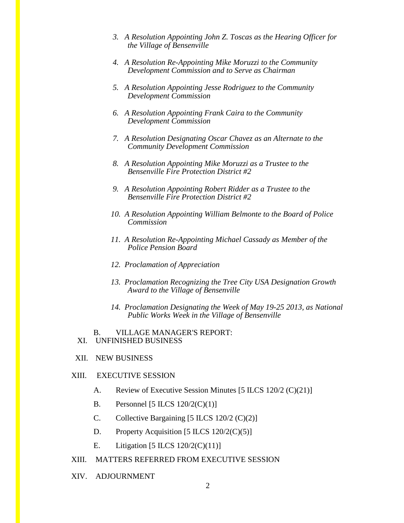- *3. A Resolution Appointing John Z. Toscas as the Hearing Officer for the Village of Bensenville*
- *4. A Resolution Re-Appointing Mike Moruzzi to the Community Development Commission and to Serve as Chairman*
- *5. A Resolution Appointing Jesse Rodriguez to the Community Development Commission*
- *6. A Resolution Appointing Frank Caira to the Community Development Commission*
- *7. A Resolution Designating Oscar Chavez as an Alternate to the Community Development Commission*
- *8. A Resolution Appointing Mike Moruzzi as a Trustee to the Bensenville Fire Protection District #2*
- *9. A Resolution Appointing Robert Ridder as a Trustee to the Bensenville Fire Protection District #2*
- *10. A Resolution Appointing William Belmonte to the Board of Police Commission*
- *11. A Resolution Re-Appointing Michael Cassady as Member of the Police Pension Board*
- *12. Proclamation of Appreciation*
- *13. Proclamation Recognizing the Tree City USA Designation Growth Award to the Village of Bensenville*
- *14. Proclamation Designating the Week of May 19-25 2013, as National Public Works Week in the Village of Bensenville*

#### B. VILLAGE MANAGER'S REPORT: XI. UNFINISHED BUSINESS

XII. NEW BUSINESS

#### XIII. EXECUTIVE SESSION

- A. Review of Executive Session Minutes [5 ILCS 120/2 (C)(21)]
- B. Personnel [5 ILCS  $120/2(C)(1)$ ]
- C. Collective Bargaining  $[5 \text{ ILCS } 120/2 \text{ (C)}(2)]$
- D. Property Acquisition  $[5 \text{ ILCS } 120/2 \text{ (C)}(5)]$
- E. Litigation  $[5 \text{ ILCS } 120/2 \text{ (C)}(11)]$
- XIII. MATTERS REFERRED FROM EXECUTIVE SESSION
- XIV. ADJOURNMENT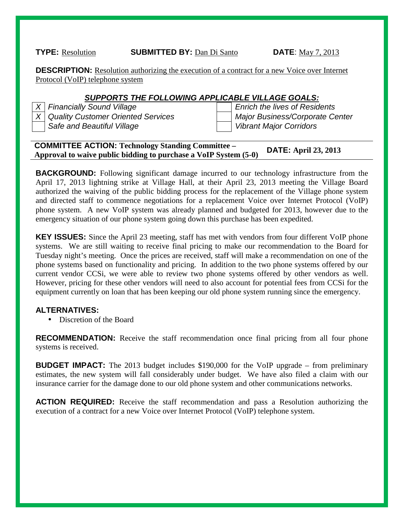**TYPE:** Resolution **SUBMITTED BY:** Dan Di Santo **DATE**: May 7, 2013

**DESCRIPTION:** Resolution authorizing the execution of a contract for a new Voice over Internet Protocol (VoIP) telephone system

#### *SUPPORTS THE FOLLOWING APPLICABLE VILLAGE GOALS:*

*X Financially Sound Village Enrich the lives of Residents X Quality Customer Oriented Services Major Business/Corporate Center Safe and Beautiful Village Vibrant Major Corridors*

#### **COMMITTEE ACTION: Technology Standing Committee – Approval to waive public bidding to purchase a VoIP System (5-0) DATE: April 23, 2013**

**BACKGROUND:** Following significant damage incurred to our technology infrastructure from the April 17, 2013 lightning strike at Village Hall, at their April 23, 2013 meeting the Village Board authorized the waiving of the public bidding process for the replacement of the Village phone system and directed staff to commence negotiations for a replacement Voice over Internet Protocol (VoIP) phone system. A new VoIP system was already planned and budgeted for 2013, however due to the emergency situation of our phone system going down this purchase has been expedited.

**KEY ISSUES:** Since the April 23 meeting, staff has met with vendors from four different VoIP phone systems. We are still waiting to receive final pricing to make our recommendation to the Board for Tuesday night's meeting. Once the prices are received, staff will make a recommendation on one of the phone systems based on functionality and pricing. In addition to the two phone systems offered by our current vendor CCSi, we were able to review two phone systems offered by other vendors as well. However, pricing for these other vendors will need to also account for potential fees from CCSi for the equipment currently on loan that has been keeping our old phone system running since the emergency.

#### **ALTERNATIVES:**

Discretion of the Board

**RECOMMENDATION:** Receive the staff recommendation once final pricing from all four phone systems is received.

**BUDGET IMPACT:** The 2013 budget includes \$190,000 for the VoIP upgrade – from preliminary estimates, the new system will fall considerably under budget. We have also filed a claim with our insurance carrier for the damage done to our old phone system and other communications networks.

**ACTION REQUIRED:** Receive the staff recommendation and pass a Resolution authorizing the execution of a contract for a new Voice over Internet Protocol (VoIP) telephone system.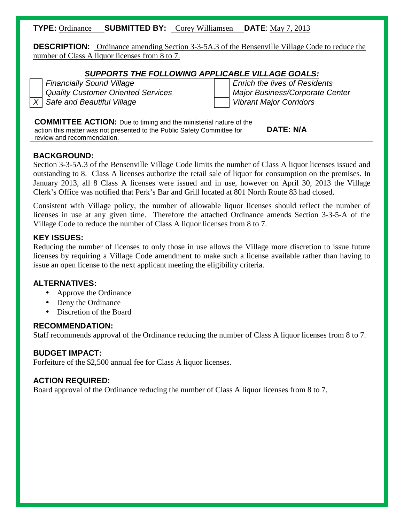#### **TYPE:** Ordinance **SUBMITTED BY:** Corey Williamsen **DATE**: May 7, 2013

**DESCRIPTION:** Ordinance amending Section 3-3-5A.3 of the Bensenville Village Code to reduce the number of Class A liquor licenses from 8 to 7.

#### *SUPPORTS THE FOLLOWING APPLICABLE VILLAGE GOALS:*

*Financially Sound Village Enrich the lives of Residents Quality Customer Oriented Services Major Business/Corporate Center X Safe and Beautiful Village Vibrant Major Corridors*

**COMMITTEE ACTION:** Due to timing and the ministerial nature of the action this matter was not presented to the Public Safety Committee for review and recommendation. **DATE: N/A**

#### **BACKGROUND:**

Section 3-3-5A.3 of the Bensenville Village Code limits the number of Class A liquor licenses issued and outstanding to 8. Class A licenses authorize the retail sale of liquor for consumption on the premises. In January 2013, all 8 Class A licenses were issued and in use, however on April 30, 2013 the Village Clerk's Office was notified that Perk's Bar and Grill located at 801 North Route 83 had closed.

Consistent with Village policy, the number of allowable liquor licenses should reflect the number of licenses in use at any given time. Therefore the attached Ordinance amends Section 3-3-5-A of the Village Code to reduce the number of Class A liquor licenses from 8 to 7.

#### **KEY ISSUES:**

Reducing the number of licenses to only those in use allows the Village more discretion to issue future licenses by requiring a Village Code amendment to make such a license available rather than having to issue an open license to the next applicant meeting the eligibility criteria.

#### **ALTERNATIVES:**

- Approve the Ordinance
- Deny the Ordinance  $\mathbf{r}$
- Discretion of the Board

#### **RECOMMENDATION:**

Staff recommends approval of the Ordinance reducing the number of Class A liquor licenses from 8 to 7.

#### **BUDGET IMPACT:**

Forfeiture of the \$2,500 annual fee for Class A liquor licenses.

#### **ACTION REQUIRED:**

Board approval of the Ordinance reducing the number of Class A liquor licenses from 8 to 7.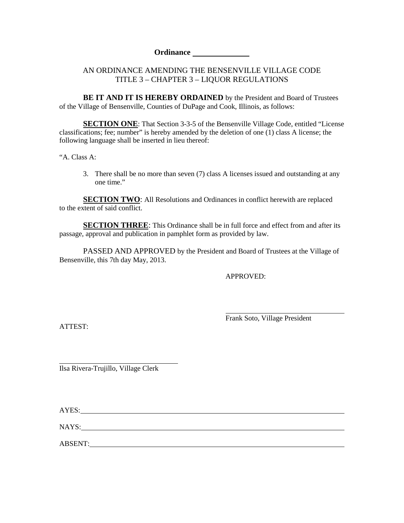**Ordinance**

#### AN ORDINANCE AMENDING THE BENSENVILLE VILLAGE CODE TITLE 3 – CHAPTER 3 – LIQUOR REGULATIONS

**BE IT AND IT IS HEREBY ORDAINED** by the President and Board of Trustees of the Village of Bensenville, Counties of DuPage and Cook, Illinois, as follows:

**SECTION ONE:** That Section 3-3-5 of the Bensenville Village Code, entitled "License" classifications; fee; number" is hereby amended by the deletion of one (1) class A license; the following language shall be inserted in lieu thereof:

"A. Class A:

3. There shall be no more than seven (7) class A licenses issued and outstanding at any one time."

**SECTION TWO:** All Resolutions and Ordinances in conflict herewith are replaced to the extent of said conflict.

**SECTION THREE:** This Ordinance shall be in full force and effect from and after its passage, approval and publication in pamphlet form as provided by law.

PASSED AND APPROVED by the President and Board of Trustees at the Village of Bensenville, this 7th day May, 2013.

APPROVED:

ATTEST:

Frank Soto, Village President

Ilsa Rivera-Trujillo, Village Clerk

AYES:

NAYS: NAYS:

ABSENT: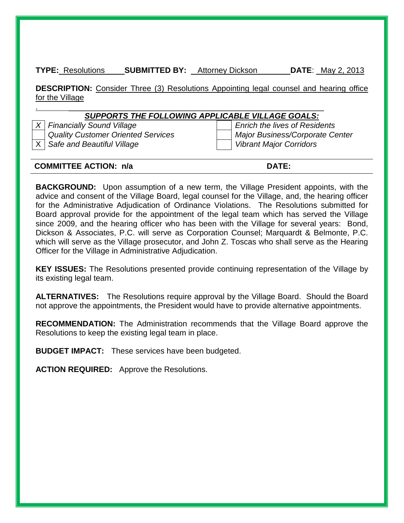**TYPE:** Resolutions **SUBMITTED BY:** Attorney Dickson **DATE**: \_May 2, 2013

**DESCRIPTION:** Consider Three (3) Resolutions Appointing legal counsel and hearing office for the Village

#### .  $\blacksquare$ *SUPPORTS THE FOLLOWING APPLICABLE VILLAGE GOALS:*

*X Financially Sound Village Enrich the lives of Residents* X *Safe and Beautiful Village Vibrant Major Corridors*

*Quality Customer Oriented Services Major Business/Corporate Center*

#### **COMMITTEE ACTION: n/a DATE:**

**BACKGROUND:** Upon assumption of a new term, the Village President appoints, with the advice and consent of the Village Board, legal counsel for the Village, and, the hearing officer for the Administrative Adjudication of Ordinance Violations. The Resolutions submitted for Board approval provide for the appointment of the legal team which has served the Village since 2009, and the hearing officer who has been with the Village for several years: Bond, Dickson & Associates, P.C. will serve as Corporation Counsel; Marquardt & Belmonte, P.C. which will serve as the Village prosecutor, and John Z. Toscas who shall serve as the Hearing Officer for the Village in Administrative Adjudication.

**KEY ISSUES:** The Resolutions presented provide continuing representation of the Village by its existing legal team.

**ALTERNATIVES:** The Resolutions require approval by the Village Board. Should the Board not approve the appointments, the President would have to provide alternative appointments.

**RECOMMENDATION:** The Administration recommends that the Village Board approve the Resolutions to keep the existing legal team in place.

**BUDGET IMPACT:** These services have been budgeted.

**ACTION REQUIRED:** Approve the Resolutions.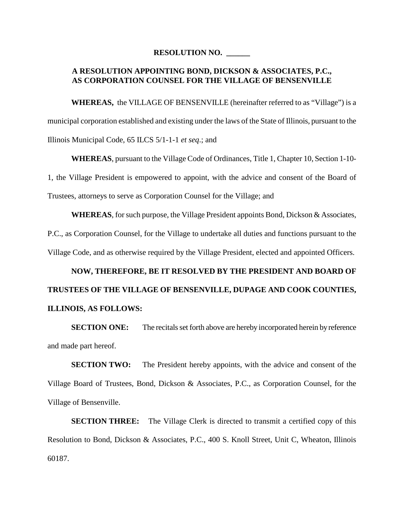#### **RESOLUTION NO. \_\_\_\_\_\_**

#### **A RESOLUTION APPOINTING BOND, DICKSON & ASSOCIATES, P.C., AS CORPORATION COUNSEL FOR THE VILLAGE OF BENSENVILLE**

**WHEREAS,** the VILLAGE OF BENSENVILLE (hereinafter referred to as "Village") is a municipal corporation established and existing under the laws of the State of Illinois, pursuant to the Illinois Municipal Code, 65 ILCS 5/1-1-1 *et seq*.; and

**WHEREAS**, pursuant to the Village Code of Ordinances, Title 1, Chapter 10, Section 1-10- 1, the Village President is empowered to appoint, with the advice and consent of the Board of Trustees, attorneys to serve as Corporation Counsel for the Village; and

**WHEREAS**, for such purpose, the Village President appoints Bond, Dickson & Associates, P.C., as Corporation Counsel, for the Village to undertake all duties and functions pursuant to the Village Code, and as otherwise required by the Village President, elected and appointed Officers.

## **NOW, THEREFORE, BE IT RESOLVED BY THE PRESIDENT AND BOARD OF TRUSTEES OF THE VILLAGE OF BENSENVILLE, DUPAGE AND COOK COUNTIES, ILLINOIS, AS FOLLOWS:**

**SECTION ONE:** The recitals set forth above are hereby incorporated herein by reference and made part hereof.

**SECTION TWO:** The President hereby appoints, with the advice and consent of the Village Board of Trustees, Bond, Dickson & Associates, P.C., as Corporation Counsel, for the Village of Bensenville.

**SECTION THREE:** The Village Clerk is directed to transmit a certified copy of this Resolution to Bond, Dickson & Associates, P.C., 400 S. Knoll Street, Unit C, Wheaton, Illinois 60187.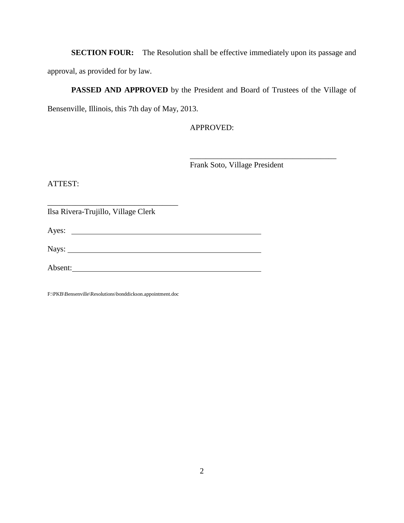**SECTION FOUR:** The Resolution shall be effective immediately upon its passage and approval, as provided for by law.

#### **PASSED AND APPROVED** by the President and Board of Trustees of the Village of

Bensenville, Illinois, this 7th day of May, 2013.

APPROVED:

Frank Soto, Village President

\_\_\_\_\_\_\_\_\_\_\_\_\_\_\_\_\_\_\_\_\_\_\_\_\_\_\_\_\_\_\_\_\_\_\_\_\_

ATTEST:

Ilsa Rivera-Trujillo, Village Clerk

\_\_\_\_\_\_\_\_\_\_\_\_\_\_\_\_\_\_\_\_\_\_\_\_\_\_\_\_\_\_\_\_\_

Ayes:

Nays:

Absent:

F:\PKB\Bensenville\Resolutions\bonddickson.appointment.doc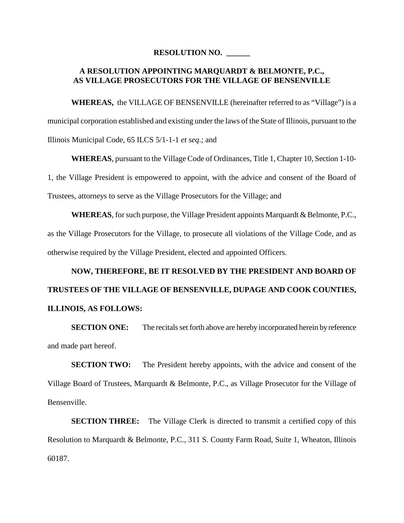#### **RESOLUTION NO. \_\_\_\_\_\_**

#### **A RESOLUTION APPOINTING MARQUARDT & BELMONTE, P.C., AS VILLAGE PROSECUTORS FOR THE VILLAGE OF BENSENVILLE**

**WHEREAS,** the VILLAGE OF BENSENVILLE (hereinafter referred to as "Village") is a municipal corporation established and existing under the laws of the State of Illinois, pursuant to the Illinois Municipal Code, 65 ILCS 5/1-1-1 *et seq*.; and

**WHEREAS**, pursuant to the Village Code of Ordinances, Title 1, Chapter 10, Section 1-10- 1, the Village President is empowered to appoint, with the advice and consent of the Board of Trustees, attorneys to serve as the Village Prosecutors for the Village; and

**WHEREAS**, for such purpose, the Village President appoints Marquardt & Belmonte, P.C., as the Village Prosecutors for the Village, to prosecute all violations of the Village Code, and as otherwise required by the Village President, elected and appointed Officers.

## **NOW, THEREFORE, BE IT RESOLVED BY THE PRESIDENT AND BOARD OF TRUSTEES OF THE VILLAGE OF BENSENVILLE, DUPAGE AND COOK COUNTIES, ILLINOIS, AS FOLLOWS:**

**SECTION ONE:** The recitals set forth above are hereby incorporated herein by reference and made part hereof.

**SECTION TWO:** The President hereby appoints, with the advice and consent of the Village Board of Trustees, Marquardt & Belmonte, P.C., as Village Prosecutor for the Village of Bensenville.

**SECTION THREE:** The Village Clerk is directed to transmit a certified copy of this Resolution to Marquardt & Belmonte, P.C., 311 S. County Farm Road, Suite 1, Wheaton, Illinois 60187.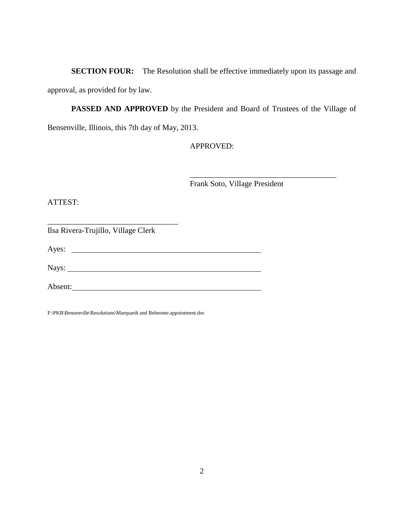**SECTION FOUR:** The Resolution shall be effective immediately upon its passage and approval, as provided for by law.

**PASSED AND APPROVED** by the President and Board of Trustees of the Village of Bensenville, Illinois, this 7th day of May, 2013.

APPROVED:

Frank Soto, Village President

\_\_\_\_\_\_\_\_\_\_\_\_\_\_\_\_\_\_\_\_\_\_\_\_\_\_\_\_\_\_\_\_\_\_\_\_\_

ATTEST:

Ilsa Rivera-Trujillo, Village Clerk

\_\_\_\_\_\_\_\_\_\_\_\_\_\_\_\_\_\_\_\_\_\_\_\_\_\_\_\_\_\_\_\_\_

Ayes:

Nays:

Absent:

F:\PKB\Bensenville\Resolutions\Marquardt and Belmonte.appointment.doc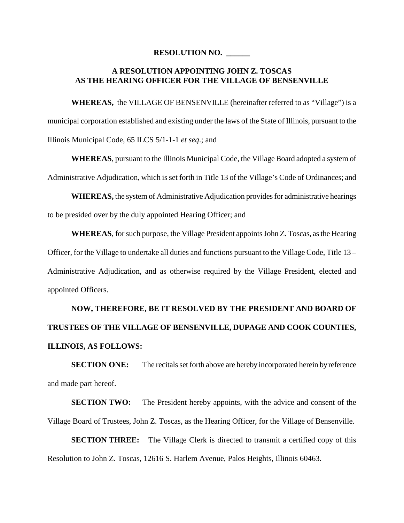#### **RESOLUTION NO. \_\_\_\_\_\_**

#### **A RESOLUTION APPOINTING JOHN Z. TOSCAS AS THE HEARING OFFICER FOR THE VILLAGE OF BENSENVILLE**

**WHEREAS,** the VILLAGE OF BENSENVILLE (hereinafter referred to as "Village") is a municipal corporation established and existing under the laws of the State of Illinois, pursuant to the Illinois Municipal Code, 65 ILCS 5/1-1-1 *et seq*.; and

**WHEREAS**, pursuant to the Illinois Municipal Code, the Village Board adopted a system of Administrative Adjudication, which is set forth in Title 13 of the Village's Code of Ordinances; and

**WHEREAS,** the system of Administrative Adjudication provides for administrative hearings to be presided over by the duly appointed Hearing Officer; and

**WHEREAS**, for such purpose, the Village President appoints John Z. Toscas, as the Hearing Officer, for the Village to undertake all duties and functions pursuant to the Village Code, Title 13 – Administrative Adjudication, and as otherwise required by the Village President, elected and appointed Officers.

## **NOW, THEREFORE, BE IT RESOLVED BY THE PRESIDENT AND BOARD OF TRUSTEES OF THE VILLAGE OF BENSENVILLE, DUPAGE AND COOK COUNTIES, ILLINOIS, AS FOLLOWS:**

**SECTION ONE:** The recitals set forth above are hereby incorporated herein by reference and made part hereof.

**SECTION TWO:** The President hereby appoints, with the advice and consent of the Village Board of Trustees, John Z. Toscas, as the Hearing Officer, for the Village of Bensenville.

**SECTION THREE:** The Village Clerk is directed to transmit a certified copy of this Resolution to John Z. Toscas, 12616 S. Harlem Avenue, Palos Heights, Illinois 60463.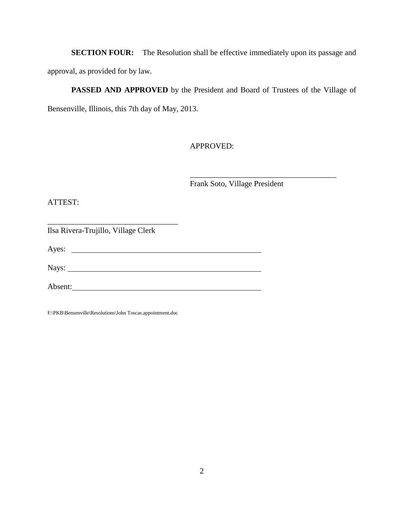**SECTION FOUR:** The Resolution shall be effective immediately upon its passage and approval, as provided for by law.

**PASSED AND APPROVED** by the President and Board of Trustees of the Village of Bensenville, Illinois, this 7th day of May, 2013.

APPROVED:

Frank Soto, Village President

\_\_\_\_\_\_\_\_\_\_\_\_\_\_\_\_\_\_\_\_\_\_\_\_\_\_\_\_\_\_\_\_\_\_\_\_\_

ATTEST:

\_\_\_\_\_\_\_\_\_\_\_\_\_\_\_\_\_\_\_\_\_\_\_\_\_\_\_\_\_\_\_\_\_ Ilsa Rivera-Trujillo, Village Clerk

Ayes:

Nays:

Absent:

F:\PKB\Bensenville\Resolutions\John Toscas.appointment.doc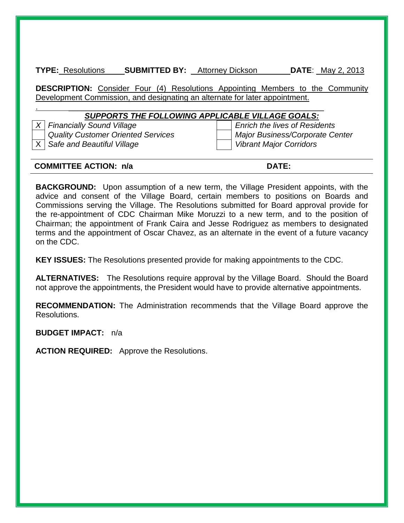**TYPE:** Resolutions **SUBMITTED BY:** Attorney Dickson **DATE**: \_May 2, 2013

**DESCRIPTION:** Consider Four (4) Resolutions Appointing Members to the Community Development Commission, and designating an alternate for later appointment.

#### .  $\blacksquare$ *SUPPORTS THE FOLLOWING APPLICABLE VILLAGE GOALS:*

X *Safe and Beautiful Village Vibrant Major Corridors*

*X Financially Sound Village Enrich the lives of Residents Quality Customer Oriented Services Major Business/Corporate Center*

#### **COMMITTEE ACTION: n/a DATE:**

**BACKGROUND:** Upon assumption of a new term, the Village President appoints, with the advice and consent of the Village Board, certain members to positions on Boards and Commissions serving the Village. The Resolutions submitted for Board approval provide for the re-appointment of CDC Chairman Mike Moruzzi to a new term, and to the position of Chairman; the appointment of Frank Caira and Jesse Rodriguez as members to designated terms and the appointment of Oscar Chavez, as an alternate in the event of a future vacancy on the CDC.

**KEY ISSUES:** The Resolutions presented provide for making appointments to the CDC.

**ALTERNATIVES:** The Resolutions require approval by the Village Board. Should the Board not approve the appointments, the President would have to provide alternative appointments.

**RECOMMENDATION:** The Administration recommends that the Village Board approve the Resolutions.

**BUDGET IMPACT:** n/a

**ACTION REQUIRED:** Approve the Resolutions.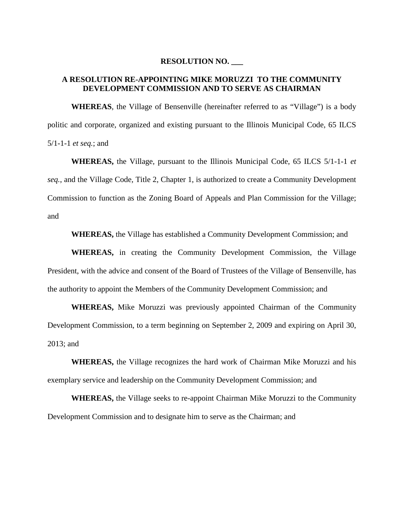#### **RESOLUTION NO. \_\_\_**

#### **A RESOLUTION RE-APPOINTING MIKE MORUZZI TO THE COMMUNITY DEVELOPMENT COMMISSION AND TO SERVE AS CHAIRMAN**

**WHEREAS**, the Village of Bensenville (hereinafter referred to as "Village") is a body politic and corporate, organized and existing pursuant to the Illinois Municipal Code, 65 ILCS 5/1-1-1 *et seq.*; and

**WHEREAS,** the Village, pursuant to the Illinois Municipal Code, 65 ILCS 5/1-1-1 *et seq.*, and the Village Code, Title 2, Chapter 1, is authorized to create a Community Development Commission to function as the Zoning Board of Appeals and Plan Commission for the Village; and

**WHEREAS,** the Village has established a Community Development Commission; and

**WHEREAS,** in creating the Community Development Commission, the Village President, with the advice and consent of the Board of Trustees of the Village of Bensenville, has the authority to appoint the Members of the Community Development Commission; and

**WHEREAS,** Mike Moruzzi was previously appointed Chairman of the Community Development Commission, to a term beginning on September 2, 2009 and expiring on April 30, 2013; and

**WHEREAS,** the Village recognizes the hard work of Chairman Mike Moruzzi and his exemplary service and leadership on the Community Development Commission; and

**WHEREAS,** the Village seeks to re-appoint Chairman Mike Moruzzi to the Community Development Commission and to designate him to serve as the Chairman; and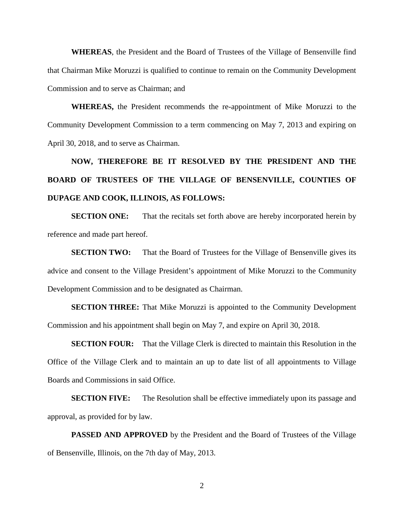**WHEREAS**, the President and the Board of Trustees of the Village of Bensenville find that Chairman Mike Moruzzi is qualified to continue to remain on the Community Development Commission and to serve as Chairman; and

**WHEREAS,** the President recommends the re-appointment of Mike Moruzzi to the Community Development Commission to a term commencing on May 7, 2013 and expiring on April 30, 2018, and to serve as Chairman.

**NOW, THEREFORE BE IT RESOLVED BY THE PRESIDENT AND THE BOARD OF TRUSTEES OF THE VILLAGE OF BENSENVILLE, COUNTIES OF DUPAGE AND COOK, ILLINOIS, AS FOLLOWS:**

**SECTION ONE:** That the recitals set forth above are hereby incorporated herein by reference and made part hereof.

**SECTION TWO:** That the Board of Trustees for the Village of Bensenville gives its advice and consent to the Village President's appointment of Mike Moruzzi to the Community Development Commission and to be designated as Chairman.

**SECTION THREE:** That Mike Moruzzi is appointed to the Community Development Commission and his appointment shall begin on May 7, and expire on April 30, 2018.

**SECTION FOUR:** That the Village Clerk is directed to maintain this Resolution in the Office of the Village Clerk and to maintain an up to date list of all appointments to Village Boards and Commissions in said Office.

**SECTION FIVE:** The Resolution shall be effective immediately upon its passage and approval, as provided for by law.

**PASSED AND APPROVED** by the President and the Board of Trustees of the Village of Bensenville, Illinois, on the 7th day of May, 2013.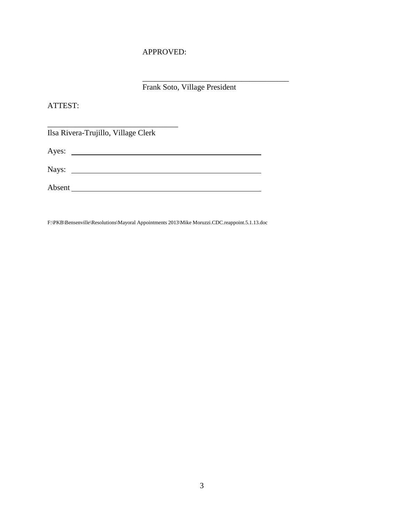#### APPROVED:

Frank Soto, Village President

 $\overline{\phantom{a}}$  , and the set of the set of the set of the set of the set of the set of the set of the set of the set of the set of the set of the set of the set of the set of the set of the set of the set of the set of the s

ATTEST:

Ilsa Rivera-Trujillo, Village Clerk

\_\_\_\_\_\_\_\_\_\_\_\_\_\_\_\_\_\_\_\_\_\_\_\_\_\_\_\_\_\_\_\_\_

Ayes: <u>New York: Ayes:</u> New York: New York: New York: New York: New York: New York: New York: New York: New York: New York: New York: New York: New York: New York: New York: New York: New York: New York: New York: New York

| Nays:  |  |  |  |
|--------|--|--|--|
|        |  |  |  |
| Absent |  |  |  |

F:\PKB\Bensenville\Resolutions\Mayoral Appointments 2013\Mike Moruzzi.CDC.reappoint.5.1.13.doc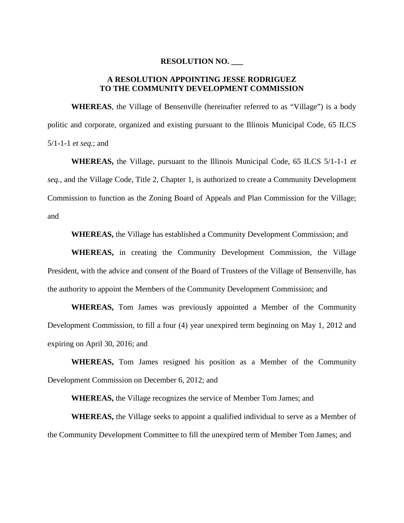#### **RESOLUTION NO. \_\_\_**

#### **A RESOLUTION APPOINTING JESSE RODRIGUEZ TO THE COMMUNITY DEVELOPMENT COMMISSION**

**WHEREAS**, the Village of Bensenville (hereinafter referred to as "Village") is a body politic and corporate, organized and existing pursuant to the Illinois Municipal Code, 65 ILCS 5/1-1-1 *et seq.*; and

**WHEREAS,** the Village, pursuant to the Illinois Municipal Code, 65 ILCS 5/1-1-1 *et seq.*, and the Village Code, Title 2, Chapter 1, is authorized to create a Community Development Commission to function as the Zoning Board of Appeals and Plan Commission for the Village; and

**WHEREAS,** the Village has established a Community Development Commission; and

**WHEREAS,** in creating the Community Development Commission, the Village President, with the advice and consent of the Board of Trustees of the Village of Bensenville, has the authority to appoint the Members of the Community Development Commission; and

**WHEREAS,** Tom James was previously appointed a Member of the Community Development Commission, to fill a four (4) year unexpired term beginning on May 1, 2012 and expiring on April 30, 2016; and

**WHEREAS,** Tom James resigned his position as a Member of the Community Development Commission on December 6, 2012; and

**WHEREAS,** the Village recognizes the service of Member Tom James; and

**WHEREAS,** the Village seeks to appoint a qualified individual to serve as a Member of the Community Development Committee to fill the unexpired term of Member Tom James; and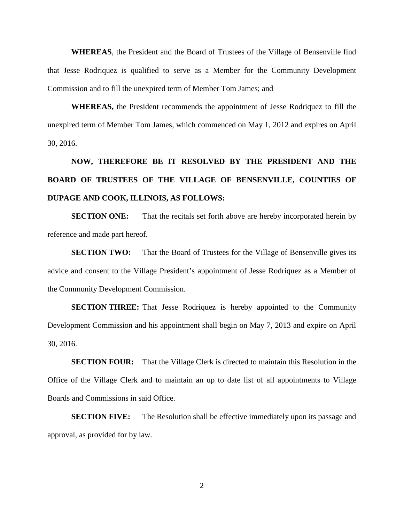**WHEREAS**, the President and the Board of Trustees of the Village of Bensenville find that Jesse Rodriquez is qualified to serve as a Member for the Community Development Commission and to fill the unexpired term of Member Tom James; and

**WHEREAS,** the President recommends the appointment of Jesse Rodriquez to fill the unexpired term of Member Tom James, which commenced on May 1, 2012 and expires on April 30, 2016.

## **NOW, THEREFORE BE IT RESOLVED BY THE PRESIDENT AND THE BOARD OF TRUSTEES OF THE VILLAGE OF BENSENVILLE, COUNTIES OF DUPAGE AND COOK, ILLINOIS, AS FOLLOWS:**

**SECTION ONE:** That the recitals set forth above are hereby incorporated herein by reference and made part hereof.

**SECTION TWO:** That the Board of Trustees for the Village of Bensenville gives its advice and consent to the Village President's appointment of Jesse Rodriquez as a Member of the Community Development Commission.

**SECTION THREE:** That Jesse Rodriquez is hereby appointed to the Community Development Commission and his appointment shall begin on May 7, 2013 and expire on April 30, 2016.

**SECTION FOUR:** That the Village Clerk is directed to maintain this Resolution in the Office of the Village Clerk and to maintain an up to date list of all appointments to Village Boards and Commissions in said Office.

**SECTION FIVE:** The Resolution shall be effective immediately upon its passage and approval, as provided for by law.

2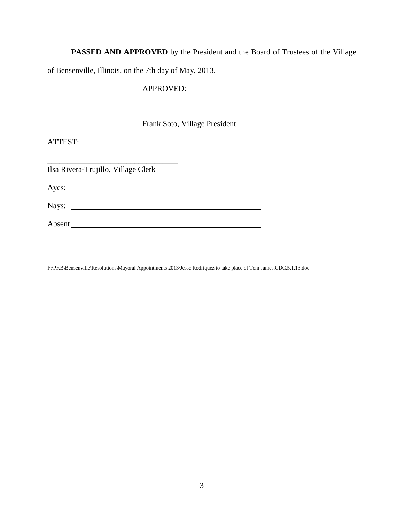**PASSED AND APPROVED** by the President and the Board of Trustees of the Village

\_\_\_\_\_\_\_\_\_\_\_\_\_\_\_\_\_\_\_\_\_\_\_\_\_\_\_\_\_\_\_\_\_\_\_\_\_

of Bensenville, Illinois, on the 7th day of May, 2013.

APPROVED:

Frank Soto, Village President

ATTEST:

\_\_\_\_\_\_\_\_\_\_\_\_\_\_\_\_\_\_\_\_\_\_\_\_\_\_\_\_\_\_\_\_\_ Ilsa Rivera-Trujillo, Village Clerk Ayes: Nays: Absent

F:\PKB\Bensenville\Resolutions\Mayoral Appointments 2013\Jesse Rodriquez to take place of Tom James.CDC.5.1.13.doc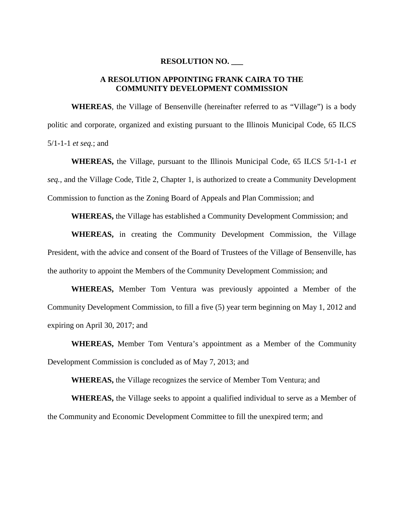#### **RESOLUTION NO. \_\_\_**

#### **A RESOLUTION APPOINTING FRANK CAIRA TO THE COMMUNITY DEVELOPMENT COMMISSION**

**WHEREAS**, the Village of Bensenville (hereinafter referred to as "Village") is a body politic and corporate, organized and existing pursuant to the Illinois Municipal Code, 65 ILCS 5/1-1-1 *et seq.*; and

**WHEREAS,** the Village, pursuant to the Illinois Municipal Code, 65 ILCS 5/1-1-1 *et seq.*, and the Village Code, Title 2, Chapter 1, is authorized to create a Community Development Commission to function as the Zoning Board of Appeals and Plan Commission; and

**WHEREAS,** the Village has established a Community Development Commission; and

**WHEREAS,** in creating the Community Development Commission, the Village President, with the advice and consent of the Board of Trustees of the Village of Bensenville, has the authority to appoint the Members of the Community Development Commission; and

**WHEREAS,** Member Tom Ventura was previously appointed a Member of the Community Development Commission, to fill a five (5) year term beginning on May 1, 2012 and expiring on April 30, 2017; and

**WHEREAS,** Member Tom Ventura's appointment as a Member of the Community Development Commission is concluded as of May 7, 2013; and

**WHEREAS,** the Village recognizes the service of Member Tom Ventura; and

**WHEREAS,** the Village seeks to appoint a qualified individual to serve as a Member of the Community and Economic Development Committee to fill the unexpired term; and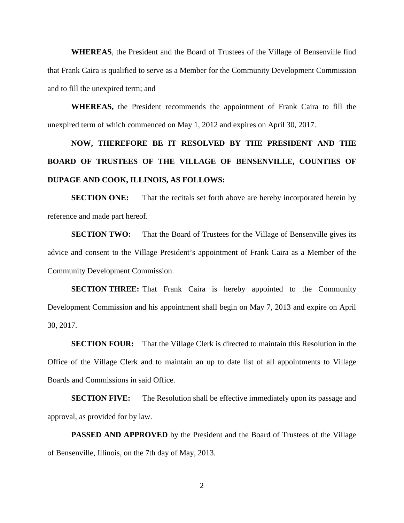**WHEREAS**, the President and the Board of Trustees of the Village of Bensenville find that Frank Caira is qualified to serve as a Member for the Community Development Commission and to fill the unexpired term; and

**WHEREAS,** the President recommends the appointment of Frank Caira to fill the unexpired term of which commenced on May 1, 2012 and expires on April 30, 2017.

## **NOW, THEREFORE BE IT RESOLVED BY THE PRESIDENT AND THE BOARD OF TRUSTEES OF THE VILLAGE OF BENSENVILLE, COUNTIES OF DUPAGE AND COOK, ILLINOIS, AS FOLLOWS:**

**SECTION ONE:** That the recitals set forth above are hereby incorporated herein by reference and made part hereof.

**SECTION TWO:** That the Board of Trustees for the Village of Bensenville gives its advice and consent to the Village President's appointment of Frank Caira as a Member of the Community Development Commission.

**SECTION THREE:** That Frank Caira is hereby appointed to the Community Development Commission and his appointment shall begin on May 7, 2013 and expire on April 30, 2017.

**SECTION FOUR:** That the Village Clerk is directed to maintain this Resolution in the Office of the Village Clerk and to maintain an up to date list of all appointments to Village Boards and Commissions in said Office.

**SECTION FIVE:** The Resolution shall be effective immediately upon its passage and approval, as provided for by law.

**PASSED AND APPROVED** by the President and the Board of Trustees of the Village of Bensenville, Illinois, on the 7th day of May, 2013.

2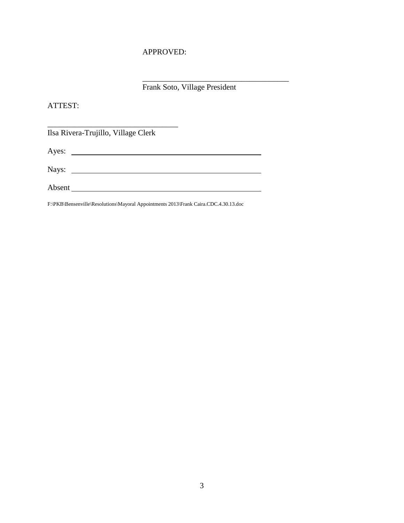#### APPROVED:

Frank Soto, Village President

 $\mathcal{L}=\mathcal{L}=\mathcal{L}=\mathcal{L}=\mathcal{L}=\mathcal{L}=\mathcal{L}=\mathcal{L}=\mathcal{L}=\mathcal{L}=\mathcal{L}=\mathcal{L}=\mathcal{L}=\mathcal{L}=\mathcal{L}=\mathcal{L}=\mathcal{L}=\mathcal{L}=\mathcal{L}=\mathcal{L}=\mathcal{L}=\mathcal{L}=\mathcal{L}=\mathcal{L}=\mathcal{L}=\mathcal{L}=\mathcal{L}=\mathcal{L}=\mathcal{L}=\mathcal{L}=\mathcal{L}=\mathcal{L}=\mathcal{L}=\mathcal{L}=\mathcal{L}=\mathcal{L}=\mathcal{$ 

#### ATTEST:

Ilsa Rivera-Trujillo, Village Clerk

\_\_\_\_\_\_\_\_\_\_\_\_\_\_\_\_\_\_\_\_\_\_\_\_\_\_\_\_\_\_\_\_\_

Ayes:

Nays:

Absent

F:\PKB\Bensenville\Resolutions\Mayoral Appointments 2013\Frank Caira.CDC.4.30.13.doc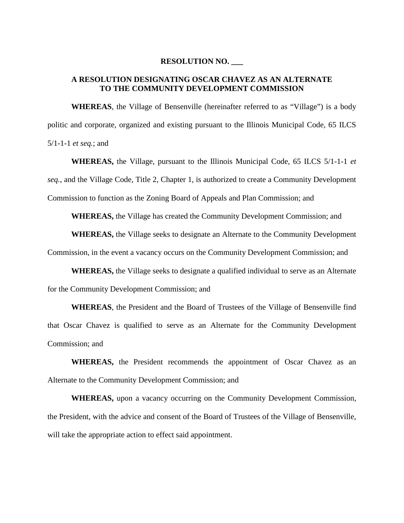#### **RESOLUTION NO. \_\_\_**

#### **A RESOLUTION DESIGNATING OSCAR CHAVEZ AS AN ALTERNATE TO THE COMMUNITY DEVELOPMENT COMMISSION**

**WHEREAS**, the Village of Bensenville (hereinafter referred to as "Village") is a body politic and corporate, organized and existing pursuant to the Illinois Municipal Code, 65 ILCS 5/1-1-1 *et seq.*; and

**WHEREAS,** the Village, pursuant to the Illinois Municipal Code, 65 ILCS 5/1-1-1 *et seq.*, and the Village Code, Title 2, Chapter 1, is authorized to create a Community Development Commission to function as the Zoning Board of Appeals and Plan Commission; and

**WHEREAS,** the Village has created the Community Development Commission; and

**WHEREAS,** the Village seeks to designate an Alternate to the Community Development Commission, in the event a vacancy occurs on the Community Development Commission; and

**WHEREAS,** the Village seeks to designate a qualified individual to serve as an Alternate for the Community Development Commission; and

**WHEREAS**, the President and the Board of Trustees of the Village of Bensenville find that Oscar Chavez is qualified to serve as an Alternate for the Community Development Commission; and

**WHEREAS,** the President recommends the appointment of Oscar Chavez as an Alternate to the Community Development Commission; and

**WHEREAS,** upon a vacancy occurring on the Community Development Commission, the President, with the advice and consent of the Board of Trustees of the Village of Bensenville, will take the appropriate action to effect said appointment.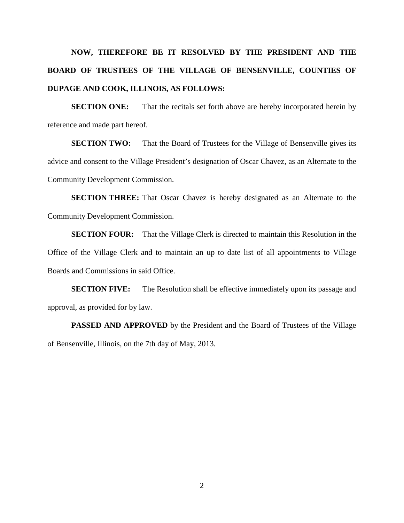## **NOW, THEREFORE BE IT RESOLVED BY THE PRESIDENT AND THE BOARD OF TRUSTEES OF THE VILLAGE OF BENSENVILLE, COUNTIES OF DUPAGE AND COOK, ILLINOIS, AS FOLLOWS:**

**SECTION ONE:** That the recitals set forth above are hereby incorporated herein by reference and made part hereof.

**SECTION TWO:** That the Board of Trustees for the Village of Bensenville gives its advice and consent to the Village President's designation of Oscar Chavez, as an Alternate to the Community Development Commission.

**SECTION THREE:** That Oscar Chavez is hereby designated as an Alternate to the Community Development Commission.

**SECTION FOUR:** That the Village Clerk is directed to maintain this Resolution in the Office of the Village Clerk and to maintain an up to date list of all appointments to Village Boards and Commissions in said Office.

**SECTION FIVE:** The Resolution shall be effective immediately upon its passage and approval, as provided for by law.

**PASSED AND APPROVED** by the President and the Board of Trustees of the Village of Bensenville, Illinois, on the 7th day of May, 2013.

2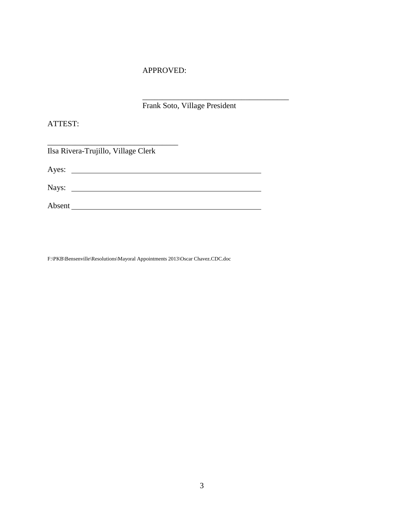#### APPROVED:

\_\_\_\_\_\_\_\_\_\_\_\_\_\_\_\_\_\_\_\_\_\_\_\_\_\_\_\_\_\_\_\_\_\_\_\_\_ Frank Soto, Village President

ATTEST:

| Ilsa Rivera-Trujillo, Village Clerk |  |
|-------------------------------------|--|
| Ayes: $\qquad \qquad$               |  |
|                                     |  |
| Absent                              |  |

F:\PKB\Bensenville\Resolutions\Mayoral Appointments 2013\Oscar Chavez.CDC.doc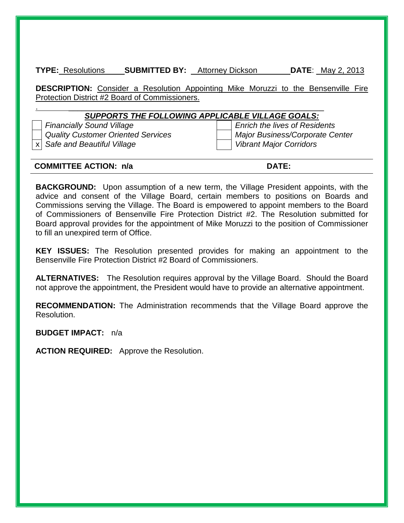**TYPE:** Resolutions **SUBMITTED BY:** Attorney Dickson **DATE**: \_May 2, 2013

**DESCRIPTION:** Consider a Resolution Appointing Mike Moruzzi to the Bensenville Fire Protection District #2 Board of Commissioners.

#### .  $\blacksquare$ *SUPPORTS THE FOLLOWING APPLICABLE VILLAGE GOALS:*

*Financially Sound Village Enrich the lives of Residents Quality Customer Oriented Services Major Business/Corporate Center*

x *Safe and Beautiful Village Vibrant Major Corridors*

#### **COMMITTEE ACTION: n/a DATE:**

**BACKGROUND:** Upon assumption of a new term, the Village President appoints, with the advice and consent of the Village Board, certain members to positions on Boards and Commissions serving the Village. The Board is empowered to appoint members to the Board of Commissioners of Bensenville Fire Protection District #2. The Resolution submitted for Board approval provides for the appointment of Mike Moruzzi to the position of Commissioner to fill an unexpired term of Office.

**KEY ISSUES:** The Resolution presented provides for making an appointment to the Bensenville Fire Protection District #2 Board of Commissioners.

**ALTERNATIVES:** The Resolution requires approval by the Village Board. Should the Board not approve the appointment, the President would have to provide an alternative appointment.

**RECOMMENDATION:** The Administration recommends that the Village Board approve the Resolution.

**BUDGET IMPACT:** n/a

**ACTION REQUIRED:** Approve the Resolution.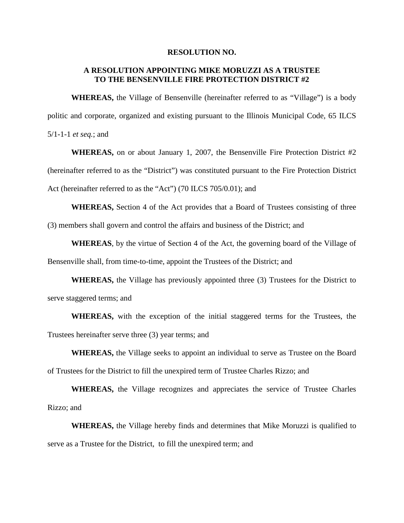#### **RESOLUTION NO.**

#### **A RESOLUTION APPOINTING MIKE MORUZZI AS A TRUSTEE TO THE BENSENVILLE FIRE PROTECTION DISTRICT #2**

**WHEREAS,** the Village of Bensenville (hereinafter referred to as "Village") is a body politic and corporate, organized and existing pursuant to the Illinois Municipal Code, 65 ILCS 5/1-1-1 *et seq.*; and

**WHEREAS,** on or about January 1, 2007, the Bensenville Fire Protection District #2 (hereinafter referred to as the "District") was constituted pursuant to the Fire Protection District Act (hereinafter referred to as the "Act") (70 ILCS 705/0.01); and

**WHEREAS,** Section 4 of the Act provides that a Board of Trustees consisting of three (3) members shall govern and control the affairs and business of the District; and

**WHEREAS**, by the virtue of Section 4 of the Act, the governing board of the Village of Bensenville shall, from time-to-time, appoint the Trustees of the District; and

**WHEREAS,** the Village has previously appointed three (3) Trustees for the District to serve staggered terms; and

**WHEREAS,** with the exception of the initial staggered terms for the Trustees, the Trustees hereinafter serve three (3) year terms; and

**WHEREAS,** the Village seeks to appoint an individual to serve as Trustee on the Board of Trustees for the District to fill the unexpired term of Trustee Charles Rizzo; and

**WHEREAS,** the Village recognizes and appreciates the service of Trustee Charles Rizzo; and

**WHEREAS,** the Village hereby finds and determines that Mike Moruzzi is qualified to serve as a Trustee for the District, to fill the unexpired term; and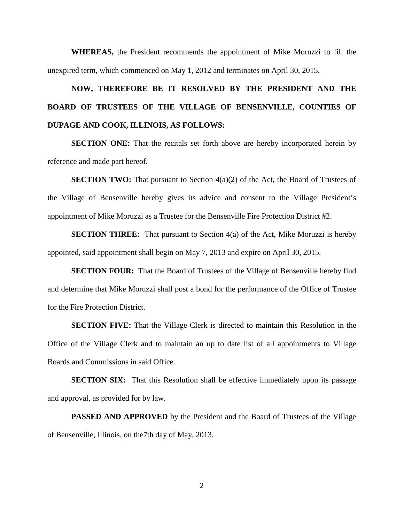**WHEREAS,** the President recommends the appointment of Mike Moruzzi to fill the unexpired term, which commenced on May 1, 2012 and terminates on April 30, 2015.

## **NOW, THEREFORE BE IT RESOLVED BY THE PRESIDENT AND THE BOARD OF TRUSTEES OF THE VILLAGE OF BENSENVILLE, COUNTIES OF DUPAGE AND COOK, ILLINOIS, AS FOLLOWS:**

**SECTION ONE:** That the recitals set forth above are hereby incorporated herein by reference and made part hereof.

**SECTION TWO:** That pursuant to Section 4(a)(2) of the Act, the Board of Trustees of the Village of Bensenville hereby gives its advice and consent to the Village President's appointment of Mike Moruzzi as a Trustee for the Bensenville Fire Protection District #2.

**SECTION THREE:** That pursuant to Section 4(a) of the Act, Mike Moruzzi is hereby appointed, said appointment shall begin on May 7, 2013 and expire on April 30, 2015.

**SECTION FOUR:** That the Board of Trustees of the Village of Bensenville hereby find and determine that Mike Moruzzi shall post a bond for the performance of the Office of Trustee for the Fire Protection District.

**SECTION FIVE:** That the Village Clerk is directed to maintain this Resolution in the Office of the Village Clerk and to maintain an up to date list of all appointments to Village Boards and Commissions in said Office.

**SECTION SIX:** That this Resolution shall be effective immediately upon its passage and approval, as provided for by law.

**PASSED AND APPROVED** by the President and the Board of Trustees of the Village of Bensenville, Illinois, on the7th day of May, 2013.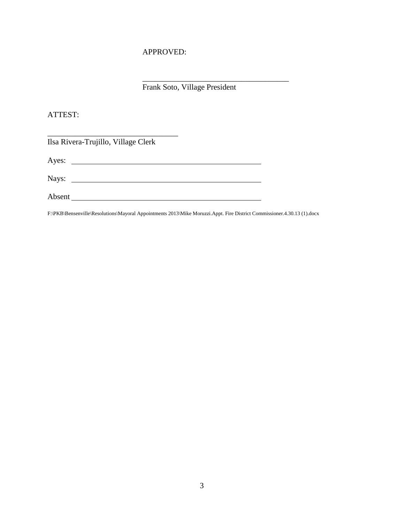#### APPROVED:

Frank Soto, Village President

\_\_\_\_\_\_\_\_\_\_\_\_\_\_\_\_\_\_\_\_\_\_\_\_\_\_\_\_\_\_\_\_\_\_\_\_\_

ATTEST:

Ilsa Rivera-Trujillo, Village Clerk

\_\_\_\_\_\_\_\_\_\_\_\_\_\_\_\_\_\_\_\_\_\_\_\_\_\_\_\_\_\_\_\_\_

Ayes: <u>New York: Ayes:</u> New York: New York: New York: New York: New York: New York: New York: New York: New York: New York: New York: New York: New York: New York: New York: New York: New York: New York: New York: New York

Nays:

Absent

F:\PKB\Bensenville\Resolutions\Mayoral Appointments 2013\Mike Moruzzi.Appt. Fire District Commissioner.4.30.13 (1).docx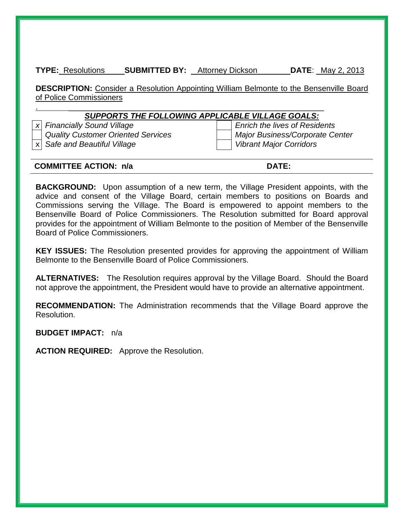**TYPE:** Resolutions **SUBMITTED BY:** Attorney Dickson **DATE**: \_May 2, 2013

**DESCRIPTION:** Consider a Resolution Appointing William Belmonte to the Bensenville Board of Police Commissioners

#### .  $\blacksquare$ *SUPPORTS THE FOLLOWING APPLICABLE VILLAGE GOALS:*

*Quality Customer Oriented Services Major Business/Corporate Center*

*x Financially Sound Village Enrich the lives of Residents* x *Safe and Beautiful Village Vibrant Major Corridors*

#### **COMMITTEE ACTION: n/a DATE:**

**BACKGROUND:** Upon assumption of a new term, the Village President appoints, with the advice and consent of the Village Board, certain members to positions on Boards and Commissions serving the Village. The Board is empowered to appoint members to the Bensenville Board of Police Commissioners. The Resolution submitted for Board approval provides for the appointment of William Belmonte to the position of Member of the Bensenville Board of Police Commissioners.

**KEY ISSUES:** The Resolution presented provides for approving the appointment of William Belmonte to the Bensenville Board of Police Commissioners.

**ALTERNATIVES:** The Resolution requires approval by the Village Board. Should the Board not approve the appointment, the President would have to provide an alternative appointment.

**RECOMMENDATION:** The Administration recommends that the Village Board approve the Resolution.

**BUDGET IMPACT:** n/a

**ACTION REQUIRED:** Approve the Resolution.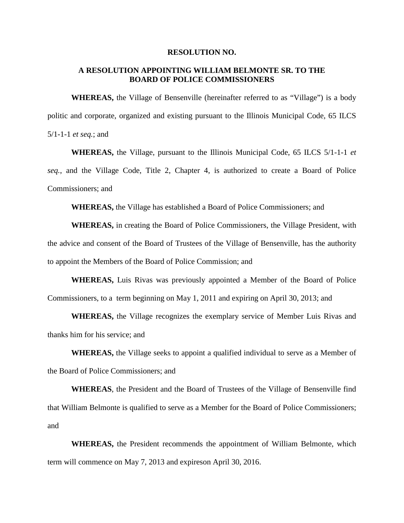#### **RESOLUTION NO.**

#### **A RESOLUTION APPOINTING WILLIAM BELMONTE SR. TO THE BOARD OF POLICE COMMISSIONERS**

**WHEREAS,** the Village of Bensenville (hereinafter referred to as "Village") is a body politic and corporate, organized and existing pursuant to the Illinois Municipal Code, 65 ILCS 5/1-1-1 *et seq.*; and

**WHEREAS,** the Village, pursuant to the Illinois Municipal Code, 65 ILCS 5/1-1-1 *et seq.*, and the Village Code, Title 2, Chapter 4, is authorized to create a Board of Police Commissioners; and

**WHEREAS,** the Village has established a Board of Police Commissioners; and

**WHEREAS,** in creating the Board of Police Commissioners, the Village President, with the advice and consent of the Board of Trustees of the Village of Bensenville, has the authority to appoint the Members of the Board of Police Commission; and

**WHEREAS,** Luis Rivas was previously appointed a Member of the Board of Police Commissioners, to a term beginning on May 1, 2011 and expiring on April 30, 2013; and

**WHEREAS,** the Village recognizes the exemplary service of Member Luis Rivas and thanks him for his service; and

**WHEREAS,** the Village seeks to appoint a qualified individual to serve as a Member of the Board of Police Commissioners; and

**WHEREAS**, the President and the Board of Trustees of the Village of Bensenville find that William Belmonte is qualified to serve as a Member for the Board of Police Commissioners; and

**WHEREAS,** the President recommends the appointment of William Belmonte, which term will commence on May 7, 2013 and expireson April 30, 2016.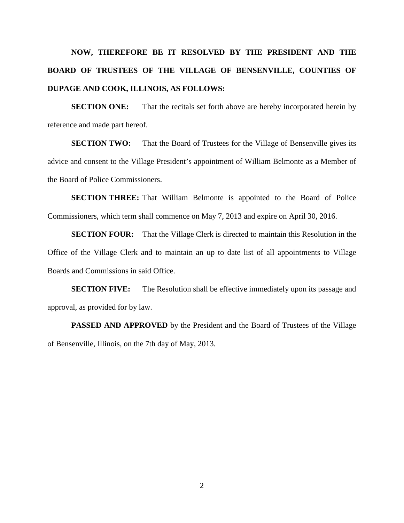## **NOW, THEREFORE BE IT RESOLVED BY THE PRESIDENT AND THE BOARD OF TRUSTEES OF THE VILLAGE OF BENSENVILLE, COUNTIES OF DUPAGE AND COOK, ILLINOIS, AS FOLLOWS:**

**SECTION ONE:** That the recitals set forth above are hereby incorporated herein by reference and made part hereof.

**SECTION TWO:** That the Board of Trustees for the Village of Bensenville gives its advice and consent to the Village President's appointment of William Belmonte as a Member of the Board of Police Commissioners.

**SECTION THREE:** That William Belmonte is appointed to the Board of Police Commissioners, which term shall commence on May 7, 2013 and expire on April 30, 2016.

**SECTION FOUR:** That the Village Clerk is directed to maintain this Resolution in the Office of the Village Clerk and to maintain an up to date list of all appointments to Village Boards and Commissions in said Office.

**SECTION FIVE:** The Resolution shall be effective immediately upon its passage and approval, as provided for by law.

**PASSED AND APPROVED** by the President and the Board of Trustees of the Village of Bensenville, Illinois, on the 7th day of May, 2013.

2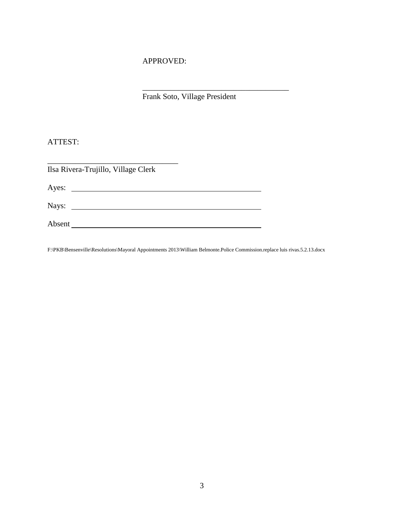#### APPROVED:

Frank Soto, Village President

\_\_\_\_\_\_\_\_\_\_\_\_\_\_\_\_\_\_\_\_\_\_\_\_\_\_\_\_\_\_\_\_\_\_\_\_\_

#### ATTEST:

| Ilsa Rivera-Trujillo, Village Clerk |  |
|-------------------------------------|--|
|                                     |  |
|                                     |  |
| Absent                              |  |

F:\PKB\Bensenville\Resolutions\Mayoral Appointments 2013\William Belmonte.Police Commission.replace luis rivas.5.2.13.docx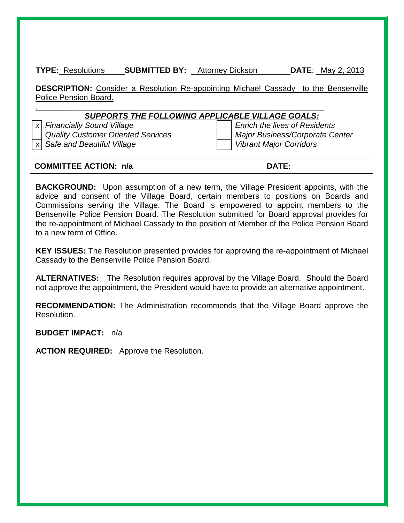**TYPE:** Resolutions **SUBMITTED BY:** Attorney Dickson **DATE**: \_May 2, 2013

**DESCRIPTION:** Consider a Resolution Re-appointing Michael Cassady to the Bensenville Police Pension Board.

#### .  $\blacksquare$ *SUPPORTS THE FOLLOWING APPLICABLE VILLAGE GOALS:*

*x Financially Sound Village Enrich the lives of Residents Quality Customer Oriented Services Major Business/Corporate Center*

x *Safe and Beautiful Village Vibrant Major Corridors*

#### **COMMITTEE ACTION: n/a DATE:**

**BACKGROUND:** Upon assumption of a new term, the Village President appoints, with the advice and consent of the Village Board, certain members to positions on Boards and Commissions serving the Village. The Board is empowered to appoint members to the Bensenville Police Pension Board. The Resolution submitted for Board approval provides for the re-appointment of Michael Cassady to the position of Member of the Police Pension Board to a new term of Office.

**KEY ISSUES:** The Resolution presented provides for approving the re-appointment of Michael Cassady to the Bensenville Police Pension Board.

**ALTERNATIVES:** The Resolution requires approval by the Village Board. Should the Board not approve the appointment, the President would have to provide an alternative appointment.

**RECOMMENDATION:** The Administration recommends that the Village Board approve the Resolution.

**BUDGET IMPACT:** n/a

**ACTION REQUIRED:** Approve the Resolution.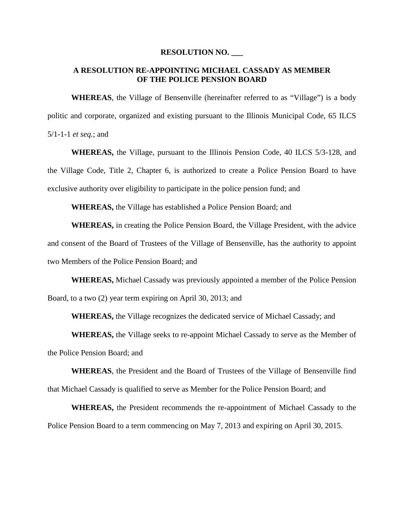#### **RESOLUTION NO. \_\_\_**

#### **A RESOLUTION RE-APPOINTING MICHAEL CASSADY AS MEMBER OF THE POLICE PENSION BOARD**

**WHEREAS**, the Village of Bensenville (hereinafter referred to as "Village") is a body politic and corporate, organized and existing pursuant to the Illinois Municipal Code, 65 ILCS 5/1-1-1 *et seq.*; and

**WHEREAS,** the Village, pursuant to the Illinois Pension Code, 40 ILCS 5/3-128, and the Village Code, Title 2, Chapter 6, is authorized to create a Police Pension Board to have exclusive authority over eligibility to participate in the police pension fund; and

**WHEREAS,** the Village has established a Police Pension Board; and

**WHEREAS,** in creating the Police Pension Board, the Village President, with the advice and consent of the Board of Trustees of the Village of Bensenville, has the authority to appoint two Members of the Police Pension Board; and

**WHEREAS,** Michael Cassady was previously appointed a member of the Police Pension Board, to a two (2) year term expiring on April 30, 2013; and

**WHEREAS,** the Village recognizes the dedicated service of Michael Cassady; and

**WHEREAS,** the Village seeks to re-appoint Michael Cassady to serve as the Member of the Police Pension Board; and

**WHEREAS**, the President and the Board of Trustees of the Village of Bensenville find that Michael Cassady is qualified to serve as Member for the Police Pension Board; and

**WHEREAS,** the President recommends the re-appointment of Michael Cassady to the Police Pension Board to a term commencing on May 7, 2013 and expiring on April 30, 2015.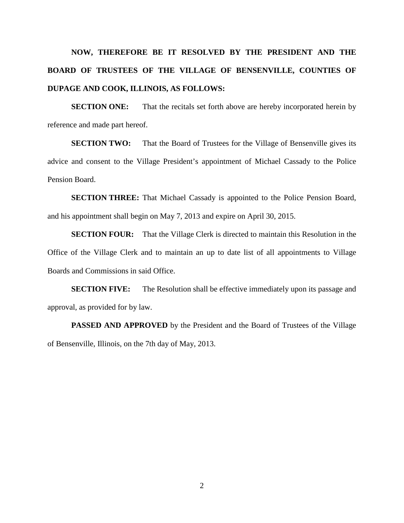## **NOW, THEREFORE BE IT RESOLVED BY THE PRESIDENT AND THE BOARD OF TRUSTEES OF THE VILLAGE OF BENSENVILLE, COUNTIES OF DUPAGE AND COOK, ILLINOIS, AS FOLLOWS:**

**SECTION ONE:** That the recitals set forth above are hereby incorporated herein by reference and made part hereof.

**SECTION TWO:** That the Board of Trustees for the Village of Bensenville gives its advice and consent to the Village President's appointment of Michael Cassady to the Police Pension Board.

**SECTION THREE:** That Michael Cassady is appointed to the Police Pension Board, and his appointment shall begin on May 7, 2013 and expire on April 30, 2015.

**SECTION FOUR:** That the Village Clerk is directed to maintain this Resolution in the Office of the Village Clerk and to maintain an up to date list of all appointments to Village Boards and Commissions in said Office.

**SECTION FIVE:** The Resolution shall be effective immediately upon its passage and approval, as provided for by law.

**PASSED AND APPROVED** by the President and the Board of Trustees of the Village of Bensenville, Illinois, on the 7th day of May, 2013.

2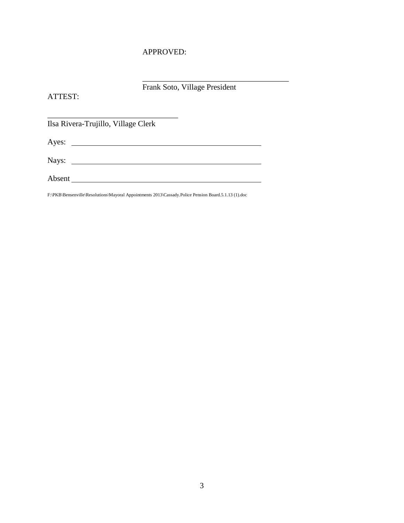#### APPROVED:

Frank Soto, Village President

\_\_\_\_\_\_\_\_\_\_\_\_\_\_\_\_\_\_\_\_\_\_\_\_\_\_\_\_\_\_\_\_\_\_\_\_\_

ATTEST:

Ilsa Rivera-Trujillo, Village Clerk

\_\_\_\_\_\_\_\_\_\_\_\_\_\_\_\_\_\_\_\_\_\_\_\_\_\_\_\_\_\_\_\_\_

Ayes: <u>New York: Ayes:</u> New York: New York: New York: New York: New York: New York: New York: New York: New York: New York: New York: New York: New York: New York: New York: New York: New York: New York: New York: New York

Nays:

Absent

F:\PKB\Bensenville\Resolutions\Mayoral Appointments 2013\Cassady.Police Pension Board.5.1.13 (1).doc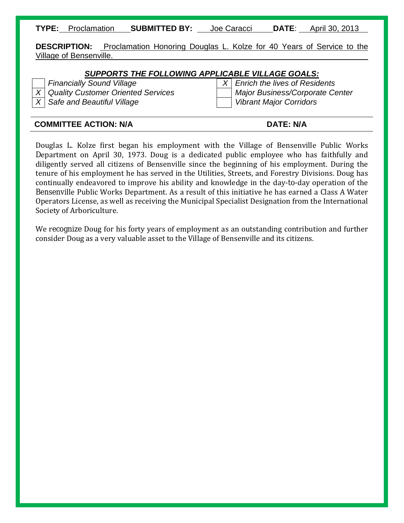**TYPE:** Proclamation **SUBMITTED BY:** Joe Caracci **DATE**: April 30, 2013

**DESCRIPTION:** Proclamation Honoring Douglas L. Kolze for 40 Years of Service to the Village of Bensenville.

#### *SUPPORTS THE FOLLOWING APPLICABLE VILLAGE GOALS:*

*Financially Sound Village X Enrich the lives of Residents*

*X Quality Customer Oriented Services Major Business/Corporate Center X Safe and Beautiful Village Vibrant Major Corridors*

#### **COMMITTEE ACTION: N/A DATE: N/A**

Douglas L. Kolze first began his employment with the Village of Bensenville Public Works Department on April 30, 1973. Doug is a dedicated public employee who has faithfully and diligently served all citizens of Bensenville since the beginning of his employment. During the tenure of his employment he has served in the Utilities, Streets, and Forestry Divisions. Doug has continually endeavored to improve his ability and knowledge in the day-to-day operation of the Bensenville Public Works Department. As a result of this initiative he has earned a Class A Water Operators License, as well as receiving the Municipal Specialist Designation from the International Society of Arboriculture.

We recognize Doug for his forty years of employment as an outstanding contribution and further consider Doug as a very valuable asset to the Village of Bensenville and its citizens.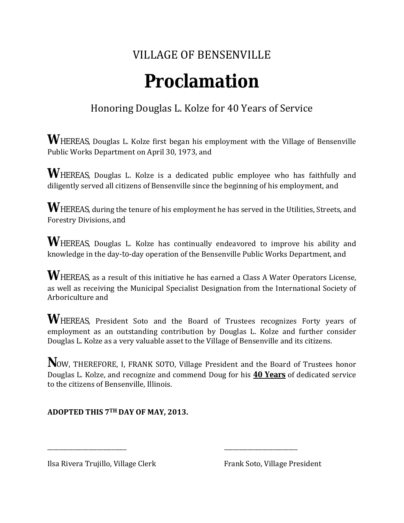## VILLAGE OF BENSENVILLE

# **Proclamation**

### Honoring Douglas L. Kolze for 40 Years of Service

**W**HEREAS, Douglas L. Kolze first began his employment with the Village of Bensenville Public Works Department on April 30, 1973, and

WHEREAS, Douglas L. Kolze is a dedicated public employee who has faithfully and diligently served all citizens of Bensenville since the beginning of his employment, and

**W**HEREAS, during the tenure of his employment he has served in the Utilities, Streets, and Forestry Divisions, and

WHEREAS, Douglas L. Kolze has continually endeavored to improve his ability and knowledge in the day-to-day operation of the Bensenville Public Works Department, and

WHEREAS, as a result of this initiative he has earned a Class A Water Operators License, as well as receiving the Municipal Specialist Designation from the International Society of Arboriculture and

**W**HEREAS, President Soto and the Board of Trustees recognizes Forty years of employment as an outstanding contribution by Douglas L. Kolze and further consider Douglas L. Kolze as a very valuable asset to the Village of Bensenville and its citizens.

**N**OW, THEREFORE, I, FRANK SOTO, Village President and the Board of Trustees honor Douglas L. Kolze, and recognize and commend Doug for his **40 Years** of dedicated service to the citizens of Bensenville, Illinois.

\_\_\_\_\_\_\_\_\_\_\_\_\_\_\_\_\_\_\_\_\_\_\_\_\_\_\_ \_\_\_\_\_\_\_\_\_\_\_\_\_\_\_\_\_\_\_\_\_\_\_\_\_

### **ADOPTED THIS 7TH DAY OF MAY, 2013.**

Ilsa Rivera Trujillo, Village Clerk Frank Soto, Village President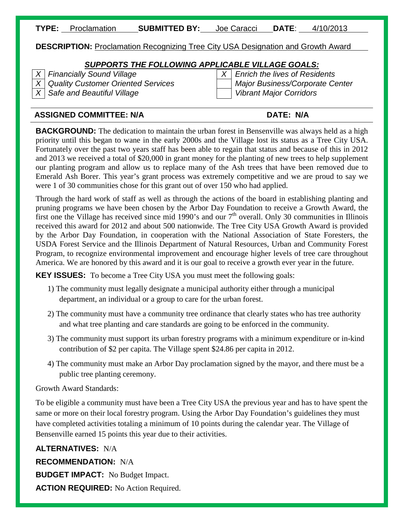| TYPE: | <b>Proclamation</b> | <b>SUBMITTED BY:</b> | Joe Caracci | <b>DATE</b> | 4/10/2013 |
|-------|---------------------|----------------------|-------------|-------------|-----------|
|       |                     |                      |             |             |           |

#### **DESCRIPTION:** Proclamation Recognizing Tree City USA Designation and Growth Award

#### *SUPPORTS THE FOLLOWING APPLICABLE VILLAGE GOALS:*

*X Financially Sound Village X Enrich the lives of Residents X Quality Customer Oriented Services Major Business/Corporate Center X Safe and Beautiful Village Vibrant Major Corridors*

#### **ASSIGNED COMMITTEE: N/A DATE: N/A**

**BACKGROUND:** The dedication to maintain the urban forest in Bensenville was always held as a high priority until this began to wane in the early 2000s and the Village lost its status as a Tree City USA. Fortunately over the past two years staff has been able to regain that status and because of this in 2012 and 2013 we received a total of \$20,000 in grant money for the planting of new trees to help supplement our planting program and allow us to replace many of the Ash trees that have been removed due to Emerald Ash Borer. This year's grant process was extremely competitive and we are proud to say we were 1 of 30 communities chose for this grant out of over 150 who had applied.

Through the hard work of staff as well as through the actions of the board in establishing planting and pruning programs we have been chosen by the Arbor Day Foundation to receive a Growth Award, the first one the Village has received since mid 1990's and our  $7<sup>th</sup>$  overall. Only 30 communities in Illinois received this award for 2012 and about 500 nationwide. The Tree City USA Growth Award is provided by the Arbor Day Foundation, in cooperation with the National Association of State Foresters, the USDA Forest Service and the Illinois Department of Natural Resources, Urban and Community Forest Program, to recognize environmental improvement and encourage higher levels of tree care throughout America. We are honored by this award and it is our goal to receive a growth ever year in the future.

**KEY ISSUES:** To become a Tree City USA you must meet the following goals:

- 1) The community must legally designate a municipal authority either through a municipal department, an individual or a group to care for the urban forest.
- 2) The community must have a community tree ordinance that clearly states who has tree authority and what tree planting and care standards are going to be enforced in the community.
- 3) The community must support its urban forestry programs with a minimum expenditure or in-kind contribution of \$2 per capita. The Village spent \$24.86 per capita in 2012.
- 4) The community must make an Arbor Day proclamation signed by the mayor, and there must be a public tree planting ceremony.

#### Growth Award Standards:

To be eligible a community must have been a Tree City USA the previous year and has to have spent the same or more on their local forestry program. Using the Arbor Day Foundation's guidelines they must have completed activities totaling a minimum of 10 points during the calendar year. The Village of Bensenville earned 15 points this year due to their activities.

**ALTERNATIVES:** N/A **RECOMMENDATION:** N/A **BUDGET IMPACT:** No Budget Impact. **ACTION REQUIRED:** No Action Required.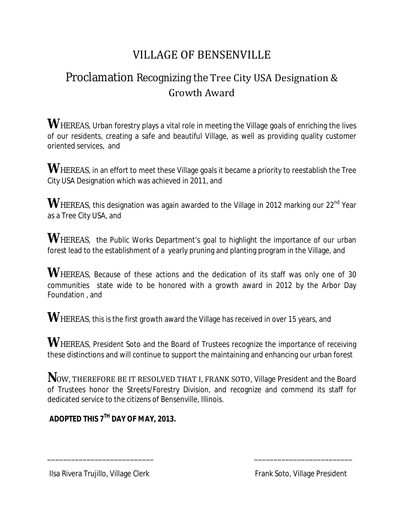## VILLAGE OF BENSENVILLE

## Proclamation Recognizing the Tree City USA Designation & Growth Award

**WHEREAS**, Urban forestry plays a vital role in meeting the Village goals of enriching the lives of our residents, creating a safe and beautiful Village, as well as providing quality customer oriented services, and

**W**HEREAS, in an effort to meet these Village goals it became a priority to reestablish the Tree City USA Designation which was achieved in 2011, and

WHEREAS, this designation was again awarded to the Village in 2012 marking our 22<sup>nd</sup> Year as a Tree City USA, and

**WHEREAS**, the Public Works Department's goal to highlight the importance of our urban forest lead to the establishment of a yearly pruning and planting program in the Village, and

WHEREAS, Because of these actions and the dedication of its staff was only one of 30 communities state wide to be honored with a growth award in 2012 by the Arbor Day Foundation , and

**W**HEREAS, this is the first growth award the Village has received in over 15 years, and

WHEREAS, President Soto and the Board of Trustees recognize the importance of receiving these distinctions and will continue to support the maintaining and enhancing our urban forest

**N**OW, THEREFORE BE IT RESOLVED THAT I, FRANK SOTO, Village President and the Board of Trustees honor the Streets/Forestry Division, and recognize and commend its staff for dedicated service to the citizens of Bensenville, Illinois.

\_\_\_\_\_\_\_\_\_\_\_\_\_\_\_\_\_\_\_\_\_\_\_\_\_\_\_ \_\_\_\_\_\_\_\_\_\_\_\_\_\_\_\_\_\_\_\_\_\_\_\_\_

**ADOPTED THIS 7TH DAY OF MAY, 2013.**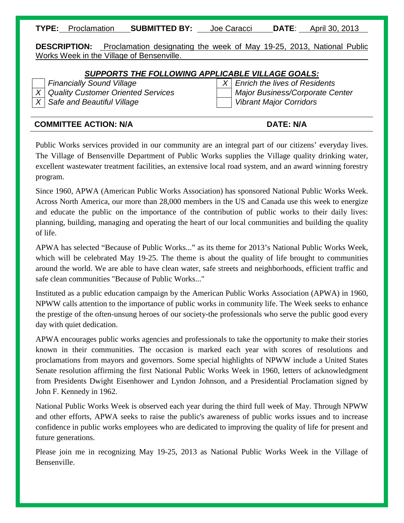**TYPE:** Proclamation **SUBMITTED BY:** Joe Caracci **DATE**: April 30, 2013

**DESCRIPTION:** Proclamation designating the week of May 19-25, 2013, National Public Works Week in the Village of Bensenville.

#### *SUPPORTS THE FOLLOWING APPLICABLE VILLAGE GOALS:*

*X* Safe and Beautiful Village **Victor Victor Vibrant Major Corridors** 

*Financially Sound Village X Enrich the lives of Residents X Quality Customer Oriented Services Major Business/Corporate Center*

#### **COMMITTEE ACTION: N/A DATE: N/A**

Public Works services provided in our community are an integral part of our citizens' everyday lives. The Village of Bensenville Department of Public Works supplies the Village quality drinking water, excellent wastewater treatment facilities, an extensive local road system, and an award winning forestry program.

Since 1960, APWA (American Public Works Association) has sponsored National Public Works Week. Across North America, our more than 28,000 members in the US and Canada use this week to energize and educate the public on the importance of the contribution of public works to their daily lives: planning, building, managing and operating the heart of our local communities and building the quality of life.

APWA has selected "Because of Public Works..." as its theme for 2013's National Public Works Week, which will be celebrated May 19-25. The theme is about the quality of life brought to communities around the world. We are able to have clean water, safe streets and neighborhoods, efficient traffic and safe clean communities "Because of Public Works..."

Instituted as a public education campaign by the American Public Works Association (APWA) in 1960, NPWW calls attention to the importance of public works in community life. The Week seeks to enhance the prestige of the often-unsung heroes of our society-the professionals who serve the public good every day with quiet dedication.

APWA encourages public works agencies and professionals to take the opportunity to make their stories known in their communities. The occasion is marked each year with scores of resolutions and proclamations from mayors and governors. Some special highlights of NPWW include a United States Senate resolution affirming the first National Public Works Week in 1960, letters of acknowledgment from Presidents Dwight Eisenhower and Lyndon Johnson, and a Presidential Proclamation signed by John F. Kennedy in 1962.

National Public Works Week is observed each year during the third full week of May. Through NPWW and other efforts, APWA seeks to raise the public's awareness of public works issues and to increase confidence in public works employees who are dedicated to improving the quality of life for present and future generations.

Please join me in recognizing May 19-25, 2013 as National Public Works Week in the Village of Bensenville.